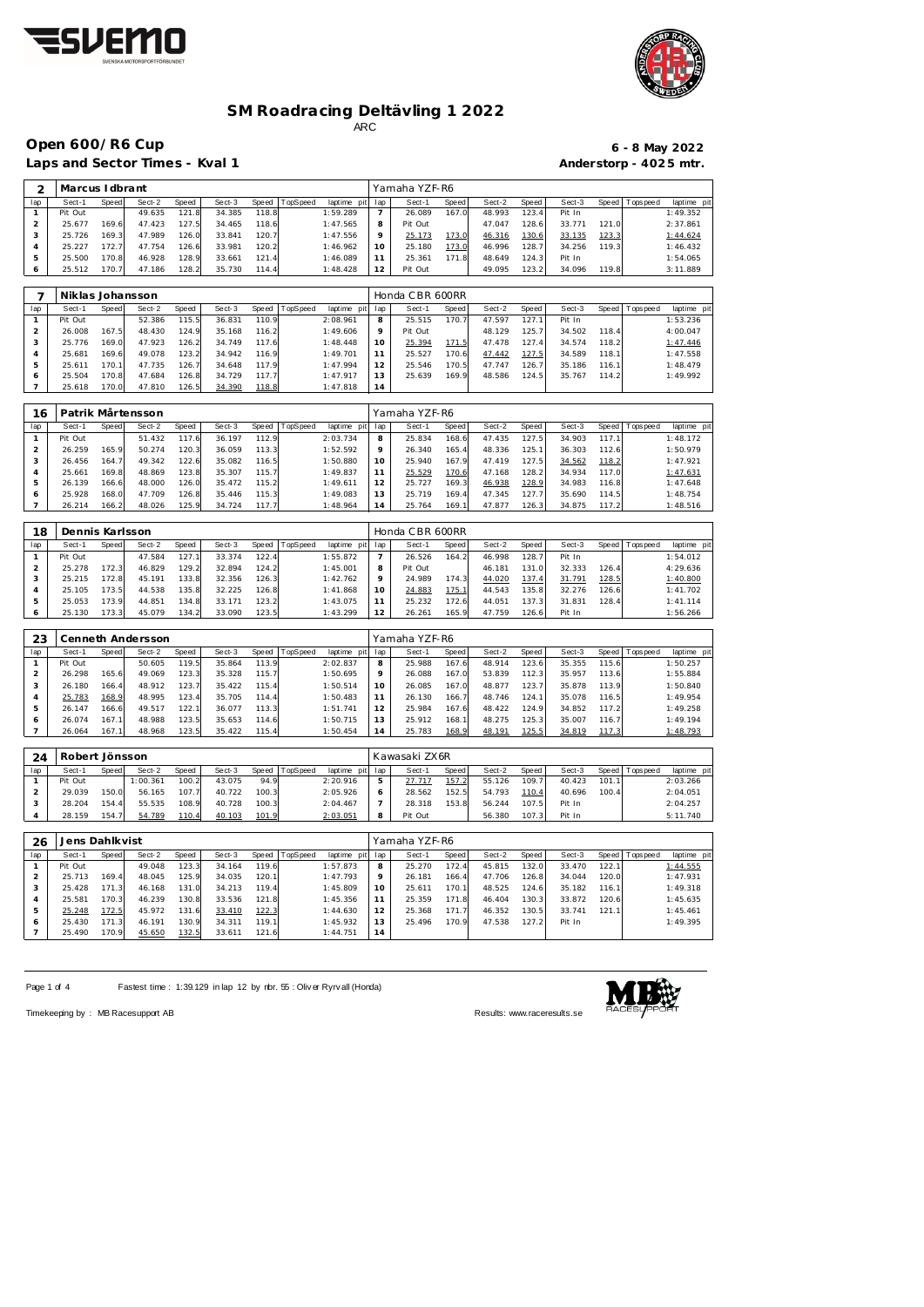



**Open 600/R6 Cup 6 - 8 May 2022** 

Laps and Sector Times - Kval 1 **Anderstorp - 4025 mtr.** 

| ⌒            | Marcus I dbrant |       |        |       |        |       |          |             |     | Yamaha YZF-R6 |          |        |       |        |       |            |             |
|--------------|-----------------|-------|--------|-------|--------|-------|----------|-------------|-----|---------------|----------|--------|-------|--------|-------|------------|-------------|
| lap          | Sect-1          | Speed | Sect-2 | Speed | Sect-3 | Speed | TopSpeed | laptime pit | lap | Sect-1        | Speed    | Sect-2 | Speed | Sect-3 | Speed | T ops peed | laptime pit |
|              | Pit Out         |       | 49.635 | 121.8 | 34.385 | 118.8 |          | 1:59.289    |     | 26.089        | 167.0    | 48.993 | 123.4 | Pit In |       |            | 1:49.352    |
|              | 25.677          | 169.6 | 47.423 | 127.5 | 34.465 | 118.6 |          | 1:47.565    | 8   | Pit Out       |          | 47.047 | 128.6 | 33.771 | 121.0 |            | 2:37.861    |
| 3            | 25.726          | 169.3 | 47.989 | 126.0 | 33.841 | 120.7 |          | 1:47.556    |     | 25.173        | 173.0    | 46.316 | 130.6 | 33.135 | 123.3 |            | 1:44.624    |
| 4            | 25.227          | 172.7 | 47.754 | 126.6 | 33.981 | 120.2 |          | 1:46.962    | 10  | 25.180        | 173.0    | 46.996 | 128.7 | 34.256 | 119.3 |            | 1:46.432    |
| 5            | 25.500          | 170.8 | 46.928 | 128.9 | 33.661 | 121.4 |          | 1:46.089    |     | 25.361        | 171<br>8 | 48.649 | 124.3 | Pit In |       |            | 1:54.065    |
| <sup>6</sup> | 25.512          | 170.7 | 47.186 | 128.2 | 35.730 | 114.4 |          | 1:48.428    | 12  | Pit Out       |          | 49.095 | 123.2 | 34.096 | 119.8 |            | 3:11.889    |
|              |                 |       |        |       |        |       |          |             |     |               |          |        |       |        |       |            |             |

|     | Niklas Johansson |       |        |       |        |       |          |                 |         | Honda CBR 600RR |        |        |       |        |        |                 |             |
|-----|------------------|-------|--------|-------|--------|-------|----------|-----------------|---------|-----------------|--------|--------|-------|--------|--------|-----------------|-------------|
| lap | Sect-1           | Speed | Sect-2 | Speed | Sect-3 | Speed | TopSpeed | laptime pit lap |         | Sect-1          | Speed  | Sect-2 | Speed | Sect-3 |        | Speed Tops peed | laptime pit |
|     | Pit Out          |       | 52.386 | 115.5 | 36.831 | 110.9 |          | 2:08.961        | 8       | 25.515          | 170.7  | 47.597 | 127.1 | Pit In |        |                 | 1:53.236    |
|     | 26.008           | 167.5 | 48.430 | 124.9 | 35.168 | 116.2 |          | 1:49.606        | $\circ$ | Pit Out         |        | 48.129 | 125.7 | 34.502 | 118.4  |                 | 4:00.047    |
|     | 25.776           | 169.0 | 47.923 | 126.2 | 34.749 | 117.6 |          | 1:48.448        | 10      | 25.394          | 171.5  | 47.478 | 127.4 | 34.574 | 118.2  |                 | 1:47.446    |
|     | 25.681           | 169.6 | 49.078 | 123.2 | 34.942 | 116.9 |          | 1:49.701        |         | 25.527          | 170.6  | 47.442 | 127.5 | 34.589 | 118.1  |                 | 1:47.558    |
|     | 25.611           | 170.1 | 47.735 | 126.7 | 34.648 | 117.9 |          | 1:47.994        | 12      | 25.546          | 170.51 | 47.747 | 126.7 | 35.186 | 116.11 |                 | 1:48.479    |
|     | 25.504           | 170.8 | 47.684 | 126.8 | 34.729 | 117.7 |          | 1:47.917        | 13      | 25.639          | 169.9  | 48.586 | 124.5 | 35.767 | 114.2  |                 | 1:49.992    |
|     | 25.618           | 170.0 | 47.810 | 126.5 | 34.390 | 118.8 |          | 1:47.818        | 14      |                 |        |        |       |        |        |                 |             |

| 16  |         |       | Patrik Mårtensson |       |        |       |                 |             |     | Yamaha YZF-R6 |       |        |       |        |       |           |             |
|-----|---------|-------|-------------------|-------|--------|-------|-----------------|-------------|-----|---------------|-------|--------|-------|--------|-------|-----------|-------------|
| lap | Sect-1  | Speed | Sect-2            | Speed | Sect-3 | Speed | <b>TopSpeed</b> | laptime pit | lap | Sect-1        | Speed | Sect-2 | Speed | Sect-3 | Speed | Tops peed | laptime pit |
|     | Pit Out |       | 51.432            | 117.6 | 36.197 | 112.9 |                 | 2:03.734    |     | 25.834        | 168.6 | 47.435 | 127.5 | 34.903 | 117.1 |           | 1:48.172    |
|     | 26.259  | 165.9 | 50.274            | 120.3 | 36.059 | 113.3 |                 | 1:52.592    |     | 26.340        | 165.4 | 48.336 | 125.1 | 36.303 | 112.6 |           | 1:50.979    |
|     | 26.456  | 164.7 | 49.342            | 122.6 | 35.082 | 116.5 |                 | 1:50.880    | 10  | 25.940        | 167.9 | 47.419 | 127.5 | 34.562 | 118.2 |           | 1:47.921    |
| 4   | 25.661  | 169.8 | 48.869            | 123.8 | 35.307 | 115.7 |                 | 1:49.837    |     | 25.529        | 170.6 | 47.168 | 128.2 | 34.934 | 117.0 |           | 1:47.631    |
| 5   | 26.139  | 166.6 | 48.000            | 126.0 | 35.472 | 115.2 |                 | 1:49.611    |     | 25.727        | 169.3 | 46.938 | 128.9 | 34.983 | 116.8 |           | 1:47.648    |
| O   | 25.928  | 168.0 | 47.709            | 126.8 | 35.446 | 115.3 |                 | 1:49.083    | 1.3 | 25.719        | 169.4 | 47.345 | 127.7 | 35.690 | 114.5 |           | 1:48.754    |
|     | 26.214  | 166.2 | 48.026            | 125.9 | 34.724 | 117.7 |                 | 1:48.964    | 14  | 25.764        | 169.1 | 47.877 | 126.3 | 34.875 | 117.2 |           | 1:48.516    |

| 18  | Dennis Karlsson |       |        |       |        |       |          |             |     | Honda CBR 600RR |       |        |        |        |       |                |             |
|-----|-----------------|-------|--------|-------|--------|-------|----------|-------------|-----|-----------------|-------|--------|--------|--------|-------|----------------|-------------|
| lap | Sect-1          | Speed | Sect-2 | Speed | Sect-3 | Speed | TopSpeed | laptime pit | lap | Sect-1          | Speed | Sect-2 | Speed  | Sect-3 |       | Speed Topspeed | laptime pit |
|     | Pit Out         |       | 47.584 | 127.  | 33.374 | 122.4 |          | 1:55.872    |     | 26.526          | 164.2 | 46.998 | 128.7  | Pit In |       |                | 1:54.012    |
|     | 25.278          | 172.3 | 46.829 | 129.2 | 32.894 | 124.2 |          | 1:45.001    | 8   | Pit Out         |       | 46.181 | 131.0  | 32.333 | 126.4 |                | 4:29.636    |
|     | 25.215          | 172.8 | 45.191 | 133.8 | 32.356 | 126.3 |          | 1:42.762    | Q   | 24.989          | 174.3 | 44.020 | 137.4  | 31.791 | 128.5 |                | 1:40.800    |
|     | 25.105          | 173.5 | 44.538 | 135.8 | 32.225 | 126.8 |          | 1:41.868    | 10  | 24.883          | 175.1 | 44.543 | 135.81 | 32.276 | 126.6 |                | 1:41.702    |
| 5   | 25.053          | 173.9 | 44.851 | 134.8 | 33.171 | 123.2 |          | 1:43.075    |     | 25.232          | 172.6 | 44.051 | 137.3  | 31.831 | 128.4 |                | 1: 41.114   |
|     | 25.130          | 173.3 | 45.079 | 134.2 | 33.090 | 123.5 |          | 1:43.299    | 12  | 26.261          | 165.9 | 47.759 | 126.6  | Pit In |       |                | 1:56.266    |

| 23  |         |       | Cenneth Andersson |       |        |       |          |             |          | Yamaha YZF-R6 |       |        |       |        |       |                 |             |  |
|-----|---------|-------|-------------------|-------|--------|-------|----------|-------------|----------|---------------|-------|--------|-------|--------|-------|-----------------|-------------|--|
| lap | Sect-1  | Speed | Sect-2            | Speed | Sect-3 | Speed | TopSpeed | laptime pit | lap      | Sect-1        | Speed | Sect-2 | Speed | Sect-3 |       | Speed Tops peed | laptime pit |  |
|     | Pit Out |       | 50.605            | 119.5 | 35.864 | 113.9 |          | 2:02.837    | 8        | 25.988        | 167.6 | 48.914 | 123.6 | 35.355 | 115.6 |                 | 1:50.257    |  |
| 2   | 26.298  | 165.6 | 49.069            | 123.3 | 35.328 | 115.7 |          | 1:50.695    |          | 26.088        | 167.0 | 53.839 | 112.3 | 35.957 | 113.6 |                 | 1:55.884    |  |
| 3   | 26.180  | 166.4 | 48.912            | 123.7 | 35.422 | 115.4 |          | 1:50.514    | $10^{-}$ | 26.085        | 167.0 | 48.877 | 123.7 | 35.878 | 113.9 |                 | 1:50.840    |  |
|     | 25.783  | 168.9 | 48.995            | 123.4 | 35.705 | 114.4 |          | 1:50.483    |          | 26.130        | 166.7 | 48.746 | 124.1 | 35.078 | 116.5 |                 | 1:49.954    |  |
| 5   | 26.147  | 166.6 | 49.517            | 122.1 | 36.077 | 113.3 |          | 1:51.741    | 12       | 25.984        | 167.6 | 48.422 | 124.9 | 34.852 | 117.2 |                 | 1:49.258    |  |
| 6   | 26.074  | 167.1 | 48.988            | 123.5 | 35.653 | 114.6 |          | 1:50.715    | 13       | 25.912        | 168.1 | 48.275 | 125.3 | 35.007 | 116.7 |                 | 1:49.194    |  |
|     | 26.064  | 167.1 | 48.968            | 123.5 | 35.422 | 115.4 |          | 1:50.454    | 14       | 25.783        | 168.9 | 48.191 | 125.5 | 34.819 | 117.3 |                 | 1:48.793    |  |

| 24  | Robert Jönsson |       |          |       |        |       |          |          |         | Kawasaki ZX6R |       |        |       |        |       |                   |             |
|-----|----------------|-------|----------|-------|--------|-------|----------|----------|---------|---------------|-------|--------|-------|--------|-------|-------------------|-------------|
| lap | Sect-1         | Speed | Sect-2   | Speed | Sect-3 | Speed | TopSpeed | laptime  | pit lap | Sect-1        | Speed | Sect-2 | Speed | Sect-3 |       | Speed   Tops peed | laptime pit |
|     | Pit Out        |       | 1:00.361 | 100.2 | 43.075 | 94.9  |          | 2:20.916 |         | 27.717        | 157.2 | 55.126 | 109.7 | 40.423 | 101.1 |                   | 2:03.266    |
|     | 29.039         | 150.0 | 56.165   | 107.7 | 40.722 | 100.3 |          | 2:05.926 |         | 28.562        | 152.5 | 54.793 | 110.4 | 40.696 | 100.4 |                   | 2:04.051    |
|     | 28.204         | 154.4 | 55.535   | 108.9 | 40.728 | 100.3 |          | 2:04.467 |         | 28.318        | 153.8 | 56.244 | 107.5 | Pit In |       |                   | 2:04.257    |
|     | 28.159         | 154.7 | 54.789   | 110.4 | 40.103 | 101.9 |          | 2:03.051 | 8       | Pit Out       |       | 56.380 | 107.3 | Pit In |       |                   | 5:11.740    |

| 26  | Jens Dahlkvist |              |        |       |        |       |          |                |         | Yamaha YZF-R6 |       |        |       |        |       |                 |             |
|-----|----------------|--------------|--------|-------|--------|-------|----------|----------------|---------|---------------|-------|--------|-------|--------|-------|-----------------|-------------|
| lap | Sect-1         | <b>Speed</b> | Sect-2 | Speed | Sect-3 | Speed | TopSpeed | laptime<br>pit | lap     | Sect-1        | Speed | Sect-2 | Speed | Sect-3 |       | Speed Tops peed | laptime pit |
|     | Pit Out        |              | 49.048 | 123.3 | 34.164 | 119.6 |          | 1:57.873       | 8       | 25.270        | 172.4 | 45.815 | 132.0 | 33.470 | 122.1 |                 | 1:44.555    |
|     | 25.713         | 169.4        | 48.045 | 125.9 | 34.035 | 120.1 |          | 1:47.793       | $\circ$ | 26.181        | 166.4 | 47.706 | 126.8 | 34.044 | 120.0 |                 | 1:47.931    |
| 3   | 25.428         | 171.3        | 46.168 | 131.0 | 34.213 | 119.4 |          | 1:45.809       | 10      | 25.611        | 170.1 | 48.525 | 124.6 | 35.182 | 116.1 |                 | 1:49.318    |
|     | 25.581         | 170.3        | 46.239 | 130.8 | 33.536 | 121.8 |          | 1:45.356       |         | 25.359        | 171.8 | 46.404 | 130.3 | 33.872 | 120.6 |                 | 1:45.635    |
| 5   | 25.248         | 72.5         | 45.972 | 131.6 | 33.410 | 122.3 |          | 1:44.630       | 12      | 25.368        | 171.7 | 46.352 | 130.5 | 33.741 | 121.1 |                 | 1:45.461    |
| O   | 25.430         | 171.3        | 46.191 | 130.9 | 34.311 | 119.1 |          | 1:45.932       |         | 25.496        | 170.9 | 47.538 | 127.2 | Pit In |       |                 | 1:49.395    |
|     | 25.490         | 70.9         | 45.650 | 132.5 | 33.611 | 121.6 |          | 1:44.751       | 14      |               |       |        |       |        |       |                 |             |

Page 1 of 4 Fastest time : 1:39.129 in lap 12 by rbr. 55 : Oliv er Ryrv all (Honda)

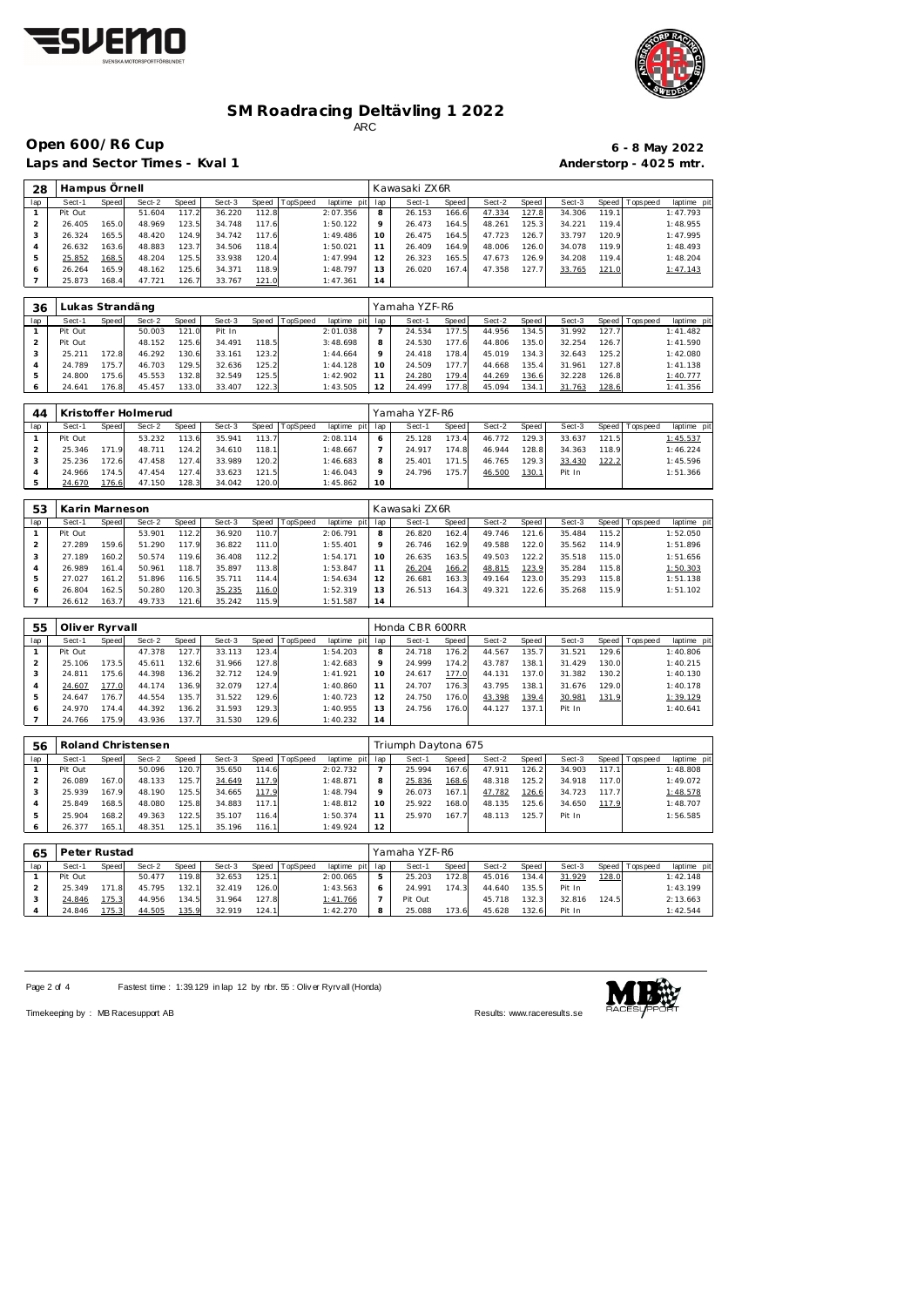



**Open 600/R6 Cup 6 - 8 May 2022**

Laps and Sector Times - Kval 1 **Anderstorp - 402 5 mtr.** A

| 6 - 8 May 2022         |
|------------------------|
| Anderstorp - 4025 mtr. |

| 28  | Hampus Örnell |       |        |       |        |       |                  |             |                 | Kawasaki ZX6R |       |        |       |        |       |             |            |
|-----|---------------|-------|--------|-------|--------|-------|------------------|-------------|-----------------|---------------|-------|--------|-------|--------|-------|-------------|------------|
| lap | Sect-1        | Speed | Sect-2 | Speed | Sect-3 |       | Speed   TopSpeed | laptime pit | lap             | Sect-1        | Speed | Sect-2 | Speed | Sect-3 | Speed | T ops pee d | laptime pi |
|     | Pit Out       |       | 51.604 | 117.2 | 36.220 | 112.8 |                  | 2:07.356    | 8               | 26.153        | 166.6 | 47.334 | 127.8 | 34.306 | 119.1 |             | 1:47.793   |
|     | 26.405        | 165.0 | 48.969 | 123.5 | 34.748 | 117.6 |                  | 1:50.122    | o               | 26.473        | 164.5 | 48.261 | 125.3 | 34.221 | 119.4 |             | 1:48.955   |
| 3   | 26.324        | 165.5 | 48.420 | 124.9 | 34.742 | 117.6 |                  | 1:49.486    | 10 <sup>°</sup> | 26.475        | 164.5 | 47.723 | 126.7 | 33.797 | 120.9 |             | 1:47.995   |
| 4   | 26.632        | 163.6 | 48.883 | 123.7 | 34.506 | 118.4 |                  | 1:50.021    |                 | 26.409        | 164.9 | 48.006 | 126.0 | 34.078 | 119.9 |             | 1:48.493   |
| 5   | 25.852        | 168.5 | 48.204 | 125.5 | 33.938 | 120.4 |                  | 1:47.994    |                 | 26.323        | 165.5 | 47.673 | 126.9 | 34.208 | 119.4 |             | 1:48.204   |
| O   | 26.264        | 165.9 | 48.162 | 125.6 | 34.371 | 118.9 |                  | 1:48.797    | 13              | 26.020        | 167.4 | 47.358 | 127.7 | 33.765 | 121.0 |             | 1:47.143   |
|     | 25.873        | 168.4 | 47.721 | 126.7 | 33.767 | 121.0 |                  | 1:47.361    | 14              |               |       |        |       |        |       |             |            |

| 36  | Lukas Strandäng |       |        |       |        |       |          |             |         | Yamaha YZF-R6 |              |        |       |        |       |                 |             |
|-----|-----------------|-------|--------|-------|--------|-------|----------|-------------|---------|---------------|--------------|--------|-------|--------|-------|-----------------|-------------|
| lap | Sect-1          | Speed | Sect-2 | Speed | Sect-3 | Speed | TopSpeed | laptime pit | lap     | Sect-1        | <b>Speed</b> | Sect-2 | Speed | Sect-3 |       | Speed Tops peed | laptime pit |
|     | Pit Out         |       | 50.003 | 121.0 | Pit In |       |          | 2:01.038    |         | 24.534        | 177.5        | 44.956 | 134.5 | 31.992 | 127.7 |                 | 1:41.482    |
|     | Pit Out         |       | 48.152 | 125.6 | 34.491 | 118.5 |          | 3:48.698    |         | 24.530        | 177.6        | 44.806 | 135.0 | 32.254 | 126.7 |                 | 1:41.590    |
|     | 25.211          | 72.8  | 46.292 | 130.6 | 33.161 | 123.2 |          | 1:44.664    | $\circ$ | 24.418        | 178.4        | 45.019 | 134.3 | 32.643 | 125.2 |                 | 1:42.080    |
|     | 24.789          | 75.7  | 46.703 | 129.5 | 32.636 | 125.2 |          | 1:44.128    |         | 24.509        | 177.7        | 44.668 | 135.4 | 31.961 | 127.8 |                 | 1:41.138    |
|     | 24.800          | 75.6  | 45.553 | 132.8 | 32.549 | 125.5 |          | 1:42.902    |         | 24.280        | 179.4        | 44.269 | 136.6 | 32.228 | 126.8 |                 | 1:40.777    |
|     | 24.641          | 176.8 | 45.457 | 133.0 | 33.407 | 122.3 |          | 1:43.505    | 12      | 24.499        | 177.8        | 45.094 | 134.1 | 31.763 | 128.6 |                 | 1: 41.356   |

| 44  |         |       | Kristoffer Holmerud |       |        |       |                 |                 |    | Yamaha YZF-R6 |       |        |       |        |       |                 |             |
|-----|---------|-------|---------------------|-------|--------|-------|-----------------|-----------------|----|---------------|-------|--------|-------|--------|-------|-----------------|-------------|
| lap | Sect-1  | Speed | Sect-2              | Speed | Sect-3 | Speed | <b>TopSpeed</b> | laptime pit lap |    | Sect-1        | Speed | Sect-2 | Speed | Sect-3 |       | Speed Tops peed | laptime pit |
|     | Pit Out |       | 53.232              | 113.6 | 35.941 | 113.7 |                 | 2:08.114        |    | 25.128        | 73.4  | 46.772 | 129.3 | 33.637 | 121.5 |                 | 1:45.537    |
|     | 25.346  | 171.9 | 48.711              | 124.2 | 34.610 | 118.1 |                 | 1:48.667        |    | 24.917        | 174.8 | 46.944 | 128.8 | 34.363 | 118.9 |                 | 1:46.224    |
|     | 25.236  | 172.6 | 47.458              | 127.4 | 33.989 | 120.2 |                 | 1:46.683        |    | 25.401        | 171.5 | 46.765 | 129.3 | 33.430 | 122.2 |                 | 1:45.596    |
|     | 24.966  | 174.5 | 47.454              | 127.4 | 33.623 | 121.5 |                 | 1:46.043        |    | 24.796        | 175.7 | 46.500 | 130.1 | Pit In |       |                 | 1:51.366    |
|     | 24.670  | 76.6  | 47.150              | 128.3 | 34.042 | 120.0 |                 | 1:45.862        | 10 |               |       |        |       |        |       |                 |             |

| 53  | Karin Marneson |       |        |       |        |       |          |             |         | Kawasaki ZX6R |       |        |       |        |       |                 |             |
|-----|----------------|-------|--------|-------|--------|-------|----------|-------------|---------|---------------|-------|--------|-------|--------|-------|-----------------|-------------|
| lap | Sect-1         | Speed | Sect-2 | Speed | Sect-3 | Speed | TopSpeed | laptime pit | lap     | Sect-1        | Speed | Sect-2 | Speed | Sect-3 |       | Speed Tops peed | laptime pit |
|     | Pit Out        |       | 53.901 | 112.2 | 36.920 | 110.7 |          | 2:06.791    | 8       | 26.820        | 162.4 | 49.746 | 121.6 | 35.484 | 115.2 |                 | 1:52.050    |
|     | 27.289         | 159.6 | 51.290 | 117.9 | 36.822 | 111.0 |          | 1:55.401    | $\circ$ | 26.746        | 162.9 | 49.588 | 122.0 | 35.562 | 114.9 |                 | 1:51.896    |
| 3   | 27.189         | 160.2 | 50.574 | 119.6 | 36.408 | 112.2 |          | 1:54.171    | 10      | 26.635        | 163.5 | 49.503 | 122.2 | 35.518 | 115.0 |                 | 1:51.656    |
| 4   | 26.989         | 161.4 | 50.961 | 118.7 | 35.897 | 113.8 |          | 1:53.847    |         | 26.204        | 166.2 | 48.815 | 123.9 | 35.284 | 115.8 |                 | 1:50.303    |
| ь   | 27.027         | 161.2 | 51.896 | 116.5 | 35.711 | 114.4 |          | 1:54.634    | 12      | 26.681        | 163.3 | 49.164 | 123.0 | 35.293 | 115.8 |                 | 1:51.138    |
| 6   | 26.804         | 162.5 | 50.280 | 120.3 | 35.235 | 116.0 |          | 1:52.319    | 13      | 26.513        | 164.3 | 49.321 | 122.6 | 35.268 | 115.9 |                 | 1:51.102    |
|     | 26.612         | 163.7 | 49.733 | 121.6 | 35.242 | 115.9 |          | 1:51.587    | 14      |               |       |        |       |        |       |                 |             |

| 55  | Oliver Ryrvall |       |        |       |        |       |          |                 |    | Honda CBR 600RR |       |        |       |        |       |                |             |
|-----|----------------|-------|--------|-------|--------|-------|----------|-----------------|----|-----------------|-------|--------|-------|--------|-------|----------------|-------------|
| lap | Sect-1         | Speed | Sect-2 | Speed | Sect-3 | Speed | TopSpeed | laptime pit lap |    | Sect-1          | Speed | Sect-2 | Speed | Sect-3 |       | Speed Topspeed | laptime pit |
|     | Pit Out        |       | 47.378 | 127.  | 33.113 | 123.4 |          | 1:54.203        | 8  | 24.718          | 176.2 | 44.567 | 135.7 | 31.521 | 129.6 |                | 1:40.806    |
|     | 25.106         | 173.5 | 45.611 | 132.6 | 31.966 | 127.8 |          | 1:42.683        |    | 24.999          | 174.2 | 43.787 | 138.1 | 31.429 | 130.0 |                | 1:40.215    |
|     | 24.811         | 175.6 | 44.398 | 136.2 | 32.712 | 124.9 |          | 1:41.921        | 10 | 24.617          | 177.0 | 44.131 | 137.0 | 31.382 | 130.2 |                | 1:40.130    |
|     | 24.607         | 177.0 | 44.174 | 136.9 | 32.079 | 127.4 |          | 1:40.860        |    | 24.707          | 176.3 | 43.795 | 138.1 | 31.676 | 129.0 |                | 1:40.178    |
|     | 24.647         | 176.7 | 44.554 | 135.7 | 31.522 | 129.6 |          | 1:40.723        | 12 | 24.750          | 176.0 | 43.398 | 139.4 | 30.981 | 131.9 |                | 1:39.129    |
| 6   | 24.970         | 174.4 | 44.392 | 136.2 | 31.593 | 129.3 |          | 1:40.955        | 13 | 24.756          | 176.0 | 44.127 | 137.1 | Pit In |       |                | 1:40.641    |
|     | 24.766         | 175.9 | 43.936 | 137.7 | 31.530 | 129.6 |          | 1:40.232        | 14 |                 |       |        |       |        |       |                |             |

| 56  |         | Roland Christensen<br>Speed TopSpeed |        |              |        |       |  |             |         | Triumph Daytona 675 |       |        |       |        |       |                 |             |
|-----|---------|--------------------------------------|--------|--------------|--------|-------|--|-------------|---------|---------------------|-------|--------|-------|--------|-------|-----------------|-------------|
| lap | Sect-1  | Speed                                | Sect-2 | <b>Speed</b> | Sect-3 |       |  | laptime pit | lap     | Sect-1              | Speed | Sect-2 | Speed | Sect-3 |       | Speed Tops peed | laptime pit |
|     | Pit Out |                                      | 50.096 | 120.7        | 35.650 | 114.6 |  | 2:02.732    |         | 25.994              | 167.6 | 47.911 | 126.2 | 34.903 | 117.1 |                 | 1:48.808    |
|     | 26.089  | 167.0                                | 48.133 | 125.7        | 34.649 | 117.9 |  | 1:48.871    | 8       | 25.836              | 168.6 | 48.318 | 125.2 | 34.918 | 117.0 |                 | 1:49.072    |
|     | 25.939  | 167.9                                | 48.190 | 125.51       | 34.665 | 117.9 |  | 1:48.794    | $\circ$ | 26.073              | 167.1 | 47.782 | 126.6 | 34.723 | 117.7 |                 | 1:48.578    |
|     | 25.849  | 168.5                                | 48.080 | 125.8        | 34.883 | 117.1 |  | 1:48.812    | 10      | 25.922              | 168.0 | 48.135 | 125.6 | 34.650 | 117.9 |                 | 1:48.707    |
|     | 25.904  | 168.2                                | 49.363 | 122.5        | 35.107 | 116.4 |  | 1:50.374    |         | 25.970              | 167.7 | 48.113 | 125.  | Pit In |       |                 | 1:56.585    |
|     | 26.377  | 165.1                                | 48.351 | 125.1        | 35.196 | 116.1 |  | 1:49.924    | 12      |                     |       |        |       |        |       |                 |             |

| 65  | Peter Rustad |       |        |       |        |       |          |             |              | Yamaha YZF-R6 |       |        |        |        |       |                 |             |
|-----|--------------|-------|--------|-------|--------|-------|----------|-------------|--------------|---------------|-------|--------|--------|--------|-------|-----------------|-------------|
| lap | Sect-1       | Speed | Sect-2 | Speed | Sect-3 | Speed | TopSpeed | laptime pit | lap          | Sect-1        | Speed | Sect-2 | Speed  | Sect-3 |       | Speed Tops peed | laptime pit |
|     | Pit Out      |       | 50.477 | 119.8 | 32.653 | 125.1 |          | 2:00.065    | $\mathbf{p}$ | 25.203        | 172.8 | 45.016 | 134.41 | 31.929 | 128.0 |                 | 1:42.148    |
|     | 25.349       | 171.8 | 45.795 | 132.1 | 32.419 | 126.0 |          | 1:43.563    | 6            | 24.991        | 174.3 | 44.640 | 135.51 | Pit In |       |                 | 1:43.199    |
|     | 24.846       | 175.3 | 44.956 | 134.5 | 31.964 | 127.8 |          | 1:41.766    |              | Pit Out       |       | 45.718 | 132.3  | 32.816 | 124.5 |                 | 2:13.663    |
|     | 24.846       | 175.3 | 44.505 | 135.9 | 32.919 | 124.1 |          | 1:42.270    | 8            | 25.088        | 173.6 | 45.628 | 132.6  | Pit In |       |                 | 1:42.544    |

Page 2 of 4 Fastest time : 1:39.129 in lap 12 by rbr. 55 : Oliv er Ryrv all (Honda)

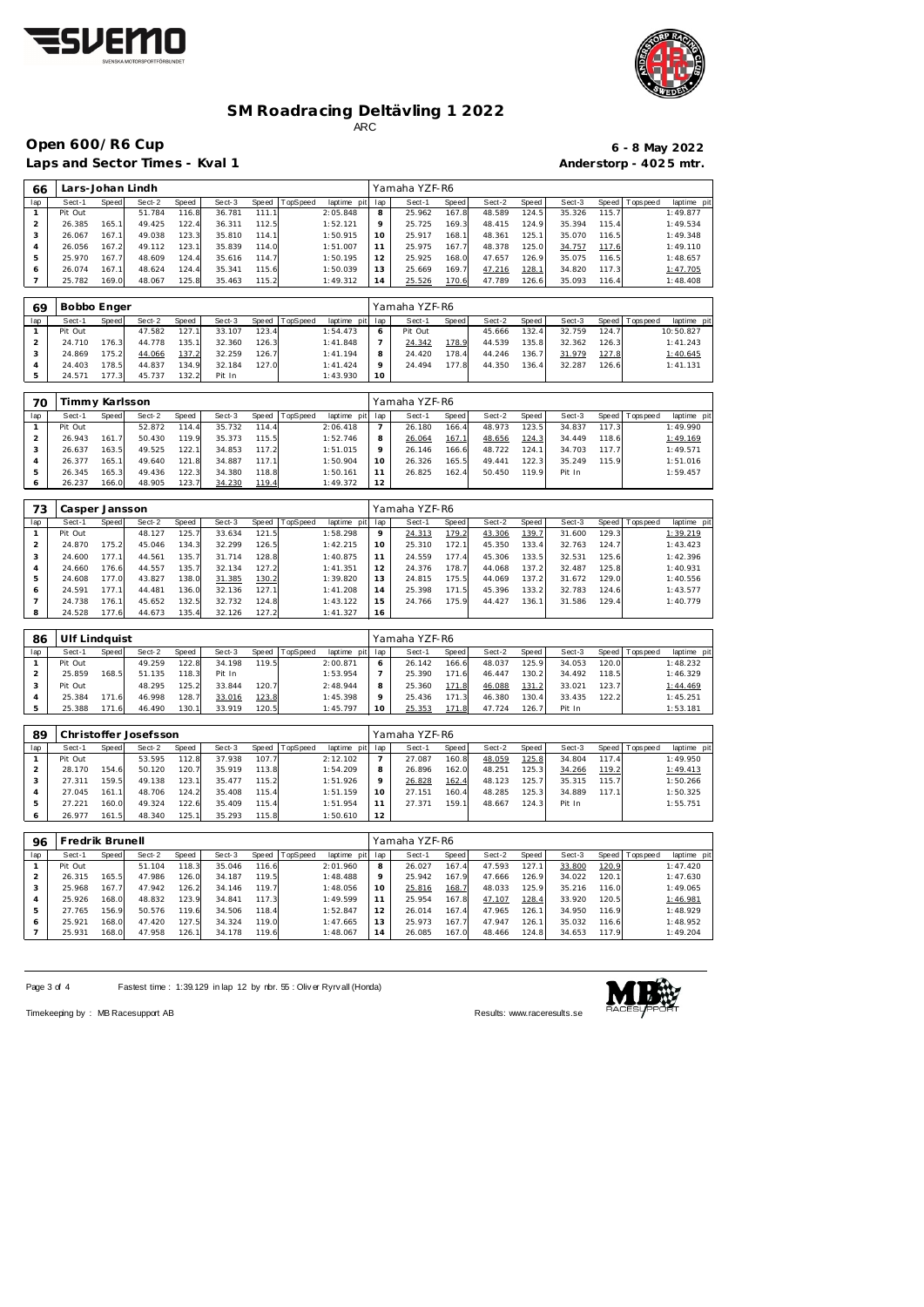



**Open 600/R6 Cup 6 - 8 May 2022**

Laps and Sector Times - Kval 1

|                        |  | $6 - 8$ May 2022 |
|------------------------|--|------------------|
| Anderstorp - 4025 mtr. |  |                  |

| 66  |         | Lars-Johan Lindh |        |       |        |       |          |             |                | Yamaha YZF-R6 |       |        |       |        |       |                 |            |
|-----|---------|------------------|--------|-------|--------|-------|----------|-------------|----------------|---------------|-------|--------|-------|--------|-------|-----------------|------------|
| lap | Sect-1  | Speed            | Sect-2 | Speed | Sect-3 | Speed | TopSpeed | laptime pit | lap            | Sect-1        | Speed | Sect-2 | Speed | Sect-3 |       | Speed Tops peed | laptime pi |
|     | Pit Out |                  | 51.784 | 16.8  | 36.781 | 111.1 |          | 2:05.848    | 8              | 25.962        | 167.8 | 48.589 | 124.5 | 35.326 | 115.7 |                 | 1:49.877   |
|     | 26.385  | 165.1            | 49.425 | 122.4 | 36.311 | 112.5 |          | 1:52.121    | $\circ$        | 25.725        | 169.3 | 48.415 | 124.9 | 35.394 | 115.4 |                 | 1:49.534   |
| 3   | 26.067  | 167.1            | 49.038 | 123.3 | 35.810 | 114.1 |          | 1:50.915    | 10.            | 25.917        | 168.1 | 48.361 | 125.1 | 35.070 | 116.5 |                 | 1:49.348   |
| 4   | 26.056  | 167.2            | 49.112 | 123.1 | 35.839 | 114.0 |          | 1:51.007    |                | 25.975        | 167.7 | 48.378 | 125.0 | 34.757 | 117.6 |                 | 1:49.110   |
| 5   | 25.970  | 167.7            | 48.609 | 124.4 | 35.616 | 114.7 |          | 1:50.195    | $12^{-}$       | 25.925        | 168.0 | 47.657 | 126.9 | 35.075 | 116.5 |                 | 1:48.657   |
| Ô   | 26.074  | 167.1            | 48.624 | 124.4 | 35.341 | 115.6 |          | 1:50.039    | 13             | 25.669        | 169.7 | 47.216 | 128.1 | 34.820 | 117.3 |                 | 1:47.705   |
|     | 25.782  | 169.0            | 48.067 | 125.8 | 35.463 | 115.2 |          | 1:49.312    | $\overline{4}$ | 25.526        | 170.6 | 47.789 | 126.6 | 35.093 | 116.4 |                 | 1:48.408   |

| 69  | Bobbo Enger |        |        |       |        |        |          |                 |         | Yamaha YZF-R6 |       |        |        |        |       |                   |             |
|-----|-------------|--------|--------|-------|--------|--------|----------|-----------------|---------|---------------|-------|--------|--------|--------|-------|-------------------|-------------|
| lap | Sect-1      | Speed  | Sect-2 | Speed | Sect-3 | Speed  | TopSpeed | laptime pit lap |         | Sect-1        | Speed | Sect-2 | Speed  | Sect-3 |       | Speed   Tops peed | laptime pit |
|     | Pit Out     |        | 47.582 | 127.1 | 33.107 | 123.4  |          | 1:54.473        | $\circ$ | Pit Out       |       | 45.666 | 132.4. | 32.759 | 124.7 |                   | 10:50.827   |
|     | 24.710      | 176.3  | 44.778 | 135.1 | 32.360 | 126.3  |          | 1:41.848        |         | 24.342        | 178.9 | 44.539 | 135.8  | 32.362 | 126.3 |                   | 1:41.243    |
|     | 24.869      | 175.21 | 44.066 | 137.2 | 32.259 | 126.71 |          | 1:41.194        | 8       | 24.420        | 178.4 | 44.246 | 136.7  | 31.979 | 127.8 |                   | 1:40.645    |
|     | 24.403      | 178.5  | 44.837 | 134.9 | 32.184 | 127.0  |          | 1: 41.424       | $\circ$ | 24.494        | 177.8 | 44.350 | 136.4  | 32.287 | 126.6 |                   | 1: 41.131   |
|     | 24.571      | 177.3  | 45.737 | 132.2 | Pit In |        |          | 1:43.930        | 10      |               |       |        |        |        |       |                   |             |

| 70  | Timmy Karlsson |       |        |       |        |       |          |                 |    | Yamaha YZF-R6 |       |        |       |        |       |                   |             |
|-----|----------------|-------|--------|-------|--------|-------|----------|-----------------|----|---------------|-------|--------|-------|--------|-------|-------------------|-------------|
| lap | Sect-1         | Speed | Sect-2 | Speed | Sect-3 | Speed | TopSpeed | laptime pit lap |    | Sect-1        | Speed | Sect-2 | Speed | Sect-3 |       | Speed   Tops peed | laptime pit |
|     | Pit Out        |       | 52.872 | 114.4 | 35.732 | 114.4 |          | 2:06.418        |    | 26.180        | 166.4 | 48.973 | 123.5 | 34.837 | 117.3 |                   | 1:49.990    |
|     | 26.943         | 161.7 | 50.430 | 119.9 | 35.373 | 115.5 |          | 1:52.746        | 8  | 26.064        | 167.  | 48.656 | 124.3 | 34.449 | 118.6 |                   | 1:49.169    |
|     | 26.637         | 163.5 | 49.525 | 122.1 | 34.853 | 117.2 |          | 1:51.015        | Q  | 26.146        | 166.6 | 48.722 | 124.1 | 34.703 | 117.7 |                   | 1:49.571    |
|     | 26.377         | 165.1 | 49.640 | 121.8 | 34.887 | 117.1 |          | 1:50.904        | 10 | 26.326        | 165.5 | 49.441 | 122.3 | 35.249 | 115.9 |                   | 1:51.016    |
|     | 26.345         | 165.3 | 49.436 | 122.3 | 34.380 | 118.8 |          | 1:50.161        |    | 26.825        | 162.4 | 50.450 | 119.9 | Pit In |       |                   | 1:59.457    |
|     | 26.237         | 166.0 | 48.905 | 123.7 | 34.230 | 119.4 |          | 1:49.372        | 12 |               |       |        |       |        |       |                   |             |

| 73  | Casper Jansson |       |        |       |        |       |                |             |                 | Yamaha YZF-R6 |       |        |       |        |       |                 |             |
|-----|----------------|-------|--------|-------|--------|-------|----------------|-------------|-----------------|---------------|-------|--------|-------|--------|-------|-----------------|-------------|
| lap | Sect-1         | Speed | Sect-2 | Speed | Sect-3 |       | Speed TopSpeed | laptime pit | lap             | Sect-1        | Speed | Sect-2 | Speed | Sect-3 |       | Speed Tops peed | laptime pit |
|     | Pit Out        |       | 48.127 | 125.7 | 33.634 | 121.5 |                | 1:58.298    | 9               | 24.313        | 179.2 | 43.306 | 139.7 | 31.600 | 129.3 |                 | 1:39.219    |
|     | 24.870         | 175.2 | 45.046 | 134.3 | 32.299 | 126.5 |                | 1:42.215    | 10              | 25.310        | 172.1 | 45.350 | 133.4 | 32.763 | 124.7 |                 | 1:43.423    |
| 3   | 24.600         | 177.1 | 44.561 | 135.7 | 31.714 | 128.8 |                | 1:40.875    | 11              | 24.559        | 177.4 | 45.306 | 133.5 | 32.531 | 125.6 |                 | 1:42.396    |
| 4   | 24.660         | 176.6 | 44.557 | 135.7 | 32.134 | 127.2 |                | 1: 41.351   | 12 <sub>1</sub> | 24.376        | 178.7 | 44.068 | 137.2 | 32.487 | 125.8 |                 | 1:40.931    |
| 5   | 24.608         | 177.0 | 43.827 | 138.0 | 31.385 | 130.2 |                | 1:39.820    | 13              | 24.815        | 175.5 | 44.069 | 137.2 | 31.672 | 129.0 |                 | 1:40.556    |
| 6   | 24.591         | 177.1 | 44.481 | 136.0 | 32.136 | 127.1 |                | 1:41.208    | 14              | 25.398        | 171.5 | 45.396 | 133.2 | 32.783 | 124.6 |                 | 1:43.577    |
|     | 24.738         | 176.1 | 45.652 | 132.5 | 32.732 | 124.8 |                | 1:43.122    | 15              | 24.766        | 175.9 | 44.427 | 136.1 | 31.586 | 129.4 |                 | 1:40.779    |
| 8   | 24.528         | 177.6 | 44.673 | 135.4 | 32.126 | 127.2 |                | 1:41.327    | 16              |               |       |        |       |        |       |                 |             |

| -86 | Ulf Lindquist |       |        |       |        |       |          |                 |    | Yamaha YZF-R6 |       |        |                    |        |       |                 |             |
|-----|---------------|-------|--------|-------|--------|-------|----------|-----------------|----|---------------|-------|--------|--------------------|--------|-------|-----------------|-------------|
| lap | Sect-1        | Speed | Sect-2 | Speed | Sect-3 | Speed | TopSpeed | laptime pit lap |    | Sect-1        | Speed | Sect-2 | Speed              | Sect-3 |       | Speed Tops peed | laptime pit |
|     | Pit Out       |       | 49.259 | 122.8 | 34.198 | 119.5 |          | 2:00.871        |    | 26.142        | 166.6 | 48.037 | 125.9              | 34.053 | 120.0 |                 | 1:48.232    |
|     | 25.859        | 168.5 | 51.135 | 118.3 | Pit In |       |          | 1:53.954        |    | 25.390        | 171.6 | 46.447 | 130.2              | 34.492 | 118.5 |                 | 1:46.329    |
|     | Pit Out       |       | 48.295 | 125.2 | 33.844 | 120.7 |          | 2:48.944        | 8  | 25.360        | 171.8 | 46.088 | 131.2              | 33.021 | 123.7 |                 | 1:44.469    |
|     | 25.384        | 171.6 | 46.998 | 128.7 | 33.016 | 123.8 |          | 1:45.398        |    | 25.436        | 171.3 | 46.380 | 130.4              | 33.435 | 122.2 |                 | 1:45.251    |
|     | 25.388        | 171.6 | 46.490 | 130.1 | 33.919 | 120.5 |          | 1:45.797        | 10 | 25.353        | 171.8 | 47.724 | 126.7 <sub>1</sub> | Pit In |       |                 | 1:53.181    |

| 89  |         |       | Christoffer Josefsson |       |        |       |                |             |     | Yamaha YZF-R6 |              |        |        |        |       |                   |             |
|-----|---------|-------|-----------------------|-------|--------|-------|----------------|-------------|-----|---------------|--------------|--------|--------|--------|-------|-------------------|-------------|
| lap | Sect-1  | Speed | Sect-2                | Speed | Sect-3 |       | Speed TopSpeed | laptime pit | lap | Sect-1        | <b>Speed</b> | Sect-2 | Speed  | Sect-3 |       | Speed   Tops peed | laptime pit |
|     | Pit Out |       | 53.595                | 112.8 | 37.938 | 107.7 |                | 2:12.102    |     | 27.087        | 160.8        | 48.059 | 125.8  | 34.804 | 117.4 |                   | 1:49.950    |
|     | 28.170  | 154.6 | 50.120                | 120.7 | 35.919 | 113.8 |                | 1:54.209    | 8   | 26.896        | 162.0        | 48.251 | 125.3  | 34.266 | 119.2 |                   | 1:49.413    |
|     | 27.311  | 159.5 | 49.138                | 123.7 | 35.477 | 115.2 |                | 1:51.926    | 9   | 26.828        | 162.4        | 48.123 | 125.7  | 35.315 | 115.7 |                   | 1:50.266    |
|     | 27.045  | 161.1 | 48.706                | 124.2 | 35.408 | 115.4 |                | 1:51.159    | 10  | 27.151        | 160.4        | 48.285 | 125.31 | 34.889 | 117.1 |                   | 1:50.325    |
|     | 27.221  | 160.0 | 49.324                | 122.6 | 35.409 | 115.4 |                | 1:51.954    |     | 27.371        | 159.1        | 48.667 | 124.3  | Pit In |       |                   | 1:55.751    |
|     | 26.977  | 161.5 | 48.340                | 125.1 | 35.293 | 115.8 |                | 1:50.610    | 12  |               |              |        |        |        |       |                   |             |

| 96  | Fredrik Brunell |       |        |       |        |       |                  |             |         | Yamaha YZF-R6 |       |        |       |        |       |                   |             |
|-----|-----------------|-------|--------|-------|--------|-------|------------------|-------------|---------|---------------|-------|--------|-------|--------|-------|-------------------|-------------|
| lap | Sect-1          | Speed | Sect-2 | Speed | Sect-3 |       | Speed   TopSpeed | laptime pit | lap     | Sect-1        | Speed | Sect-2 | Speed | Sect-3 |       | Speed   Tops peed | laptime pit |
|     | Pit Out         |       | 51.104 | 118.3 | 35.046 | 116.6 |                  | 2:01.960    | 8       | 26.027        | 167.4 | 47.593 | 127.1 | 33.800 | 120.9 |                   | 1:47.420    |
|     | 26.315          | 165.5 | 47.986 | 126.0 | 34.187 | 119.5 |                  | 1:48.488    | $\circ$ | 25.942        | 167.9 | 47.666 | 126.9 | 34.022 | 120.1 |                   | 1:47.630    |
|     | 25.968          | 167.7 | 47.942 | 126.2 | 34.146 | 119.7 |                  | 1:48.056    | 10      | 25.816        | 168.7 | 48.033 | 125.9 | 35.216 | 116.0 |                   | 1:49.065    |
| 4   | 25.926          | 168.0 | 48.832 | 123.9 | 34.841 | 117.3 |                  | 1:49.599    |         | 25.954        | 167.8 | 47.107 | 128.4 | 33.920 | 120.5 |                   | 1:46.981    |
| 5   | 27.765          | 156.9 | 50.576 | 119.6 | 34.506 | 118.4 |                  | 1:52.847    |         | 26.014        | 167.4 | 47.965 | 126.1 | 34.950 | 116.9 |                   | 1:48.929    |
| 6   | 25.921          | 168.0 | 47.420 | 127.5 | 34.324 | 119.0 |                  | 1:47.665    | 13      | 25.973        | 167.7 | 47.947 | 126.1 | 35.032 | 116.6 |                   | 1:48.952    |
|     | 25.931          | 168.0 | 47.958 | 126.1 | 34.178 | 119.6 |                  | 1:48.067    | 14      | 26.085        | 167.0 | 48.466 | 124.8 | 34.653 | 117.9 |                   | 1:49.204    |

Page 3 of 4 Fastest time : 1:39.129 in lap 12 by nbr. 55 : Oliv er Ryrv all (Honda)